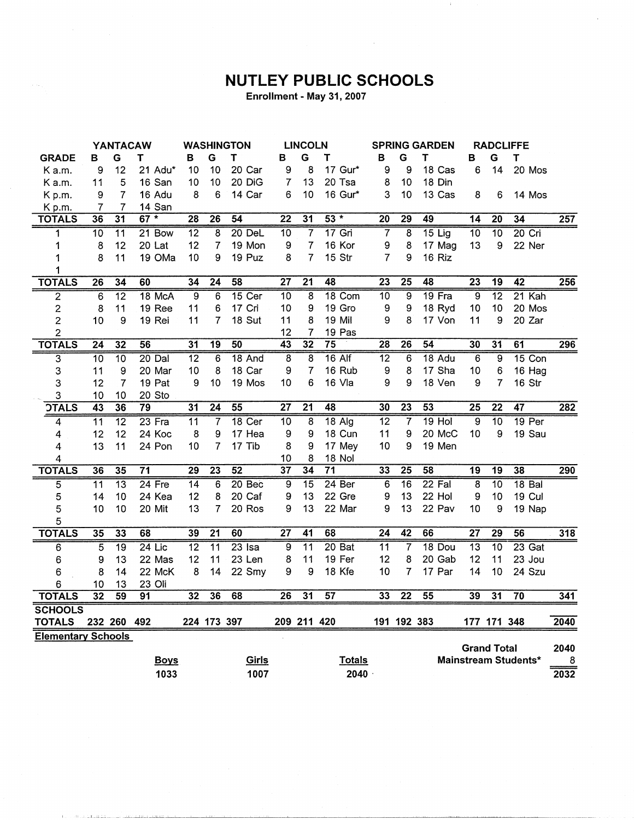## **NUTLEY PUBLIC SCHOOLS**

 $\mathcal{L}_{\mathrm{c}}$ 

Enrollment - May 31, 2007

|                           | <b>YANTACAW</b> |                 |                 | <b>WASHINGTON</b> |                 | <b>LINCOLN</b>    |                 |                 |                   | <b>SPRING GARDEN</b> |                 | <b>RADCLIFFE</b> |                         |                  |                      |                  |
|---------------------------|-----------------|-----------------|-----------------|-------------------|-----------------|-------------------|-----------------|-----------------|-------------------|----------------------|-----------------|------------------|-------------------------|------------------|----------------------|------------------|
| <b>GRADE</b>              | в               | G               | т               | в                 | G               | Т                 | в               | G               | т                 | в                    | G               | т                | в                       | G                | Τ                    |                  |
| K a.m.                    | 9               | 12              | 21 Adu*         | 10                | 10              | 20 Car            | 9               | 8               | 17 Gur*           | 9                    | 9               | 18 Cas           | 6                       | 14               | 20 Mos               |                  |
| K a.m.                    | 11              | 5               | 16 San          | 10                | 10              | 20 DiG            | 7               | 13              | 20 Tsa            | 8                    | 10              | 18 Din           |                         |                  |                      |                  |
| Kp.m.                     | 9               | $\overline{7}$  | 16 Adu          | 8                 | 6               | 14 Car            | 6               | 10              | 16 Gur*           | 3                    | 10              | 13 Cas           | 8                       | 6                | 14 Mos               |                  |
| K p.m.                    | 7               | $\overline{7}$  | 14 San          |                   |                 |                   |                 |                 |                   |                      |                 |                  |                         |                  |                      |                  |
| <b>TOTALS</b>             | 36              | $\overline{31}$ | $67 *$          | $\overline{28}$   | $\overline{26}$ | 54                | $\overline{22}$ | 31              | $53 *$            | $\overline{20}$      | 29              | 49               | $\overline{14}$         | $\overline{20}$  | 34                   | $\overline{257}$ |
| 1                         | 10              | $\overline{11}$ | 21 Bow          | $\overline{12}$   | 8               | $20$ DeL          | 10              | $\overline{7}$  | $17$ Gri          | $\overline{7}$       | 8               | $15$ Lig         | 10                      | 10               | $20$ Cri             |                  |
| 1                         | 8               | 12              | 20 Lat          | 12                | $\overline{7}$  | 19 Mon            | 9               | $\overline{7}$  | 16 Kor            | 9                    | 8               | 17 Mag           | 13                      | 9                | 22 Ner               |                  |
| 1                         | 8               | 11              | 19 OMa          | 10                | 9               | 19 Puz            | 8               | $\overline{7}$  | 15 Str            | $\overline{7}$       | 9               | 16 Riz           |                         |                  |                      |                  |
| 1                         |                 |                 |                 |                   |                 |                   |                 |                 |                   |                      |                 |                  |                         |                  |                      |                  |
| <b>TOTALS</b>             | $\overline{26}$ | $\overline{34}$ | 60              | $\overline{34}$   | $\overline{24}$ | 58                | $\overline{27}$ | $\overline{21}$ | 48                | 23                   | $\overline{25}$ | 48               | $\overline{23}$         | $\overline{19}$  | 42                   | 256              |
| 2                         | $\overline{6}$  | $\overline{12}$ | 18 McA          | $\overline{9}$    | 6               | $15$ Cer          | $\overline{10}$ | $\overline{8}$  | 18 Com            | $\overline{10}$      | 9               | $19$ Fra         | $\overline{9}$          | $\overline{12}$  | $21$ Kah             |                  |
| 2                         | 8               | 11              | 19 Ree          | 11                | 6               | 17 Cri            | 10              | 9               | 19 Gro            | 9                    | 9               | 18 Ryd           | 10                      | 10               | 20 Mos               |                  |
| $\overline{2}$            | 10              | 9               | 19 Rei          | 11                | 7               | 18 Sut            | 11              | 8               | 19 Mil            | 9                    | 8               | 17 Von           | 11                      | $\boldsymbol{9}$ | 20 Zar               |                  |
| $\overline{c}$            |                 |                 |                 |                   |                 |                   | 12              | $\overline{7}$  | 19 Pas            |                      |                 |                  |                         |                  |                      |                  |
| <b>TOTALS</b>             | 24              | $\overline{32}$ | 56              | $\overline{31}$   | 19              | 50                | $\overline{43}$ | 32              | $\overline{75}$   | 28                   | $\overline{26}$ | $\overline{54}$  | 30                      | $\overline{31}$  | 61                   | 296              |
| $\overline{3}$            | 10              | $\overline{10}$ | $20$ Dal        | $\overline{12}$   | 6               | 18 And            | $\overline{8}$  | $\overline{8}$  | $16$ Alf          | $\overline{12}$      | 6               | 18 Adu           | $\overline{6}$          | $\overline{9}$   | 15 Con               |                  |
| 3                         | 11              | 9               | 20 Mar          | 10                | 8               | 18 Car            | 9               | 7               | 16 Rub            | 9                    | 8               | 17 Sha           | 10                      | 6                | 16 Hag               |                  |
| 3                         | 12              | $\overline{7}$  | 19 Pat          | 9                 | 10              | 19 Mos            | 10              | 6               | 16 Vla            | 9                    | 9               | 18 Ven           | 9                       | 7                | 16 Str               |                  |
| 3                         | 10              | 10              | 20 Sto          |                   |                 |                   |                 |                 |                   |                      |                 |                  |                         |                  |                      |                  |
| <b>OTALS</b>              | 43              | 36              | 79              | $\overline{31}$   | $\overline{24}$ | 55                | $\overline{27}$ | $\overline{21}$ | 48                | $\overline{30}$      | 23              | 53               | 25                      | $\overline{22}$  | $\overline{47}$      | 282              |
| 4                         | $\overline{11}$ | $\overline{12}$ | $23$ Fra        | 11                | $\overline{7}$  | 18 Cer            | $\overline{10}$ | 8               | $18$ Alg          | $\overline{12}$      | $\overline{7}$  | $19$ Hol         | 9                       | $\overline{10}$  | 19 <sub>Per</sub>    |                  |
| $\overline{\mathbf{4}}$   | 12              | 12              | 24 Koc          | 8                 | 9               | 17 Hea            | 9               | 9               | 18 Cun            | 11                   | 9               | 20 McC           | 10                      | 9                | 19 Sau               |                  |
| 4                         | 13              | 11              | 24 Pon          | 10                | $\overline{7}$  | 17 Tib            | 8               | 9               | 17 Mey            | 10                   | 9               | 19 Men           |                         |                  |                      |                  |
| 4                         |                 |                 |                 |                   |                 |                   | 10              | 8               | 18 Nol            |                      |                 |                  |                         |                  |                      |                  |
| <b>TOTALS</b>             | 36              | 35              | $\overline{71}$ | 29                | $\overline{23}$ | $\overline{52}$   | $\overline{37}$ | 34              | $\overline{71}$   | 33                   | $\overline{25}$ | 58               | $\overline{19}$         | $\overline{19}$  | 38                   | 290              |
| $\overline{5}$            | $\overline{11}$ | $\overline{13}$ | $24$ Fre        | 14                | 6               | 20 <sub>Bec</sub> | 9               | $\overline{15}$ | 24 Ber            | 6                    | $\overline{16}$ | $22$ Fal         | $\overline{\mathbf{8}}$ | $\overline{10}$  | 18 <sub>Bal</sub>    |                  |
| 5                         | 14              | 10              | 24 Kea          | 12                | 8               | 20 Caf            | 9               | 13              | 22 Gre            | 9                    | 13              | 22 Hol           | 9                       | 10               | 19 Cul               |                  |
| 5                         | 10              | 10              | 20 Mit          | 13                | $\overline{7}$  | 20 Ros            | 9               | 13              | 22 Mar            | 9                    | 13              | 22 Pav           | 10                      | 9                | 19 Nap               |                  |
| 5                         |                 |                 |                 |                   |                 |                   |                 |                 |                   |                      |                 |                  |                         |                  |                      |                  |
| <b>TOTALS</b>             | $\overline{35}$ | 33              | 68              | 39                | $\overline{21}$ | 60                | $\overline{27}$ | $\overline{41}$ | 68                | $\overline{24}$      | $\overline{42}$ | 66               | $\overline{27}$         | $\overline{29}$  | 56                   | 318              |
| 6                         | $\overline{5}$  | $\overline{19}$ | $24$ Lic        | $\overline{12}$   | $\overline{11}$ | $23$ Isa          | $\overline{9}$  | $\overline{11}$ | 20 <sub>Bat</sub> | $\overline{11}$      | 7               | 18 Dou           | $\overline{13}$         | $\overline{10}$  | $23$ Gat             |                  |
| 6                         | 9               | 13              | 22 Mas          | 12                | 11              | 23 Len            | 8               | 11              | 19 Fer            | 12                   | 8               | 20 Gab           | 12                      | 11               | 23 Jou               |                  |
| 6                         | 8               | 14              | 22 McK          | 8                 | 14              | 22 Smy            | 9               | 9               | 18 Kfe            | 10                   | 7               | 17 Par           | 14                      | 10               | 24 Szu               |                  |
| 6                         | 10              | 13              | 23 Oli          |                   |                 |                   |                 |                 |                   |                      |                 |                  |                         |                  |                      |                  |
| <b>TOTALS</b>             | $\overline{32}$ | 59              | 91              | 32                | 36              | 68                | 26              | $\overline{31}$ | 57                | 33                   | $\overline{22}$ | $\overline{55}$  | 39                      | $\overline{31}$  | 70                   | 341              |
| <b>SCHOOLS</b>            |                 |                 |                 |                   |                 |                   |                 |                 |                   |                      |                 |                  |                         |                  |                      |                  |
| <b>TOTALS</b>             |                 | 232 260 492     |                 |                   | 224 173 397     |                   |                 | 209 211 420     |                   |                      | 191 192 383     |                  |                         | 177 171 348      |                      | 2040             |
| <b>Elementary Schools</b> |                 |                 |                 |                   |                 |                   |                 |                 |                   |                      |                 |                  |                         |                  |                      |                  |
|                           |                 |                 |                 |                   |                 |                   |                 |                 |                   |                      |                 |                  | <b>Grand Total</b>      |                  |                      | 2040             |
|                           |                 |                 | <b>Boys</b>     |                   |                 | Girls             |                 |                 | <b>Totals</b>     |                      |                 |                  |                         |                  | Mainstream Students* | 8                |
|                           |                 |                 | 1033            |                   |                 | 1007              |                 |                 | 2040              |                      |                 |                  |                         |                  |                      | 2032             |